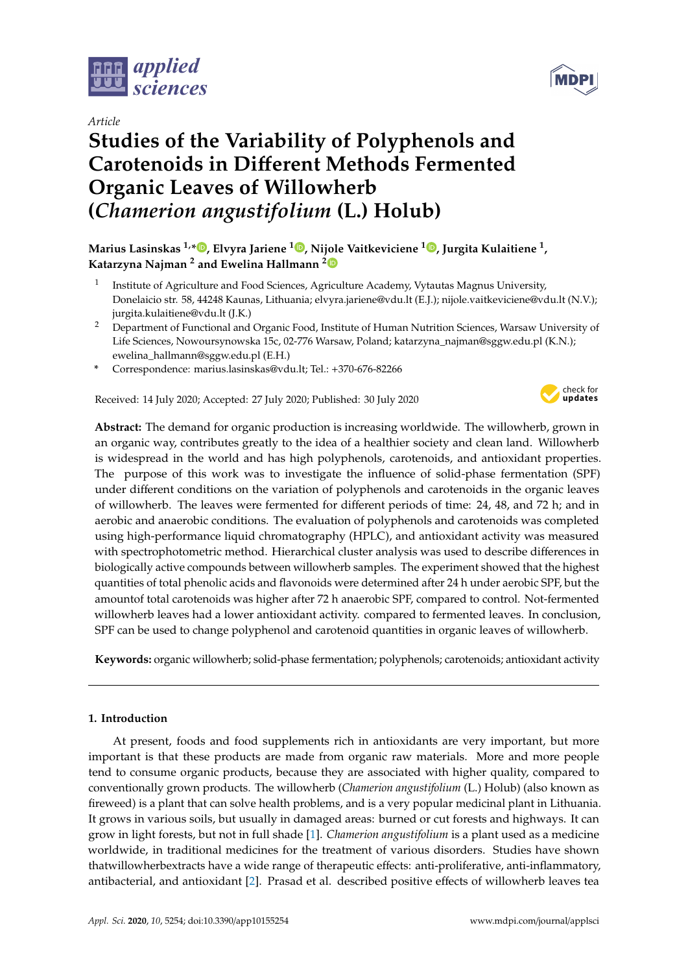

## *Article*

# **Studies of the Variability of Polyphenols and Carotenoids in Di**ff**erent Methods Fermented Organic Leaves of Willowherb (***Chamerion angustifolium* **(L.) Holub)**



## **Marius Lasinskas 1,[\\*](https://orcid.org/0000-0003-1744-7821) , Elvyra Jariene <sup>1</sup> [,](https://orcid.org/0000-0002-1827-3707) Nijole Vaitkeviciene <sup>1</sup> [,](https://orcid.org/0000-0003-0764-3634) Jurgita Kulaitiene <sup>1</sup> , Katarzyna Najman <sup>2</sup> and Ewelina Hallmann [2](https://orcid.org/0000-0002-4855-7057)**

- 1 Institute of Agriculture and Food Sciences, Agriculture Academy, Vytautas Magnus University, Donelaicio str. 58, 44248 Kaunas, Lithuania; elvyra.jariene@vdu.lt (E.J.); nijole.vaitkeviciene@vdu.lt (N.V.); jurgita.kulaitiene@vdu.lt (J.K.)
- <sup>2</sup> Department of Functional and Organic Food, Institute of Human Nutrition Sciences, Warsaw University of Life Sciences, Nowoursynowska 15c, 02-776 Warsaw, Poland; katarzyna\_najman@sggw.edu.pl (K.N.); ewelina\_hallmann@sggw.edu.pl (E.H.)
- **\*** Correspondence: marius.lasinskas@vdu.lt; Tel.: +370-676-82266

Received: 14 July 2020; Accepted: 27 July 2020; Published: 30 July 2020



**Abstract:** The demand for organic production is increasing worldwide. The willowherb, grown in an organic way, contributes greatly to the idea of a healthier society and clean land. Willowherb is widespread in the world and has high polyphenols, carotenoids, and antioxidant properties. The purpose of this work was to investigate the influence of solid-phase fermentation (SPF) under different conditions on the variation of polyphenols and carotenoids in the organic leaves of willowherb. The leaves were fermented for different periods of time: 24, 48, and 72 h; and in aerobic and anaerobic conditions. The evaluation of polyphenols and carotenoids was completed using high-performance liquid chromatography (HPLC), and antioxidant activity was measured with spectrophotometric method. Hierarchical cluster analysis was used to describe differences in biologically active compounds between willowherb samples. The experiment showed that the highest quantities of total phenolic acids and flavonoids were determined after 24 h under aerobic SPF, but the amountof total carotenoids was higher after 72 h anaerobic SPF, compared to control. Not-fermented willowherb leaves had a lower antioxidant activity. compared to fermented leaves. In conclusion, SPF can be used to change polyphenol and carotenoid quantities in organic leaves of willowherb.

**Keywords:** organic willowherb; solid-phase fermentation; polyphenols; carotenoids; antioxidant activity

#### **1. Introduction**

At present, foods and food supplements rich in antioxidants are very important, but more important is that these products are made from organic raw materials. More and more people tend to consume organic products, because they are associated with higher quality, compared to conventionally grown products. The willowherb (*Chamerion angustifolium* (L.) Holub) (also known as fireweed) is a plant that can solve health problems, and is a very popular medicinal plant in Lithuania. It grows in various soils, but usually in damaged areas: burned or cut forests and highways. It can grow in light forests, but not in full shade [\[1\]](#page-8-0). *Chamerion angustifolium* is a plant used as a medicine worldwide, in traditional medicines for the treatment of various disorders. Studies have shown thatwillowherbextracts have a wide range of therapeutic effects: anti-proliferative, anti-inflammatory, antibacterial, and antioxidant [\[2\]](#page-8-1). Prasad et al. described positive effects of willowherb leaves tea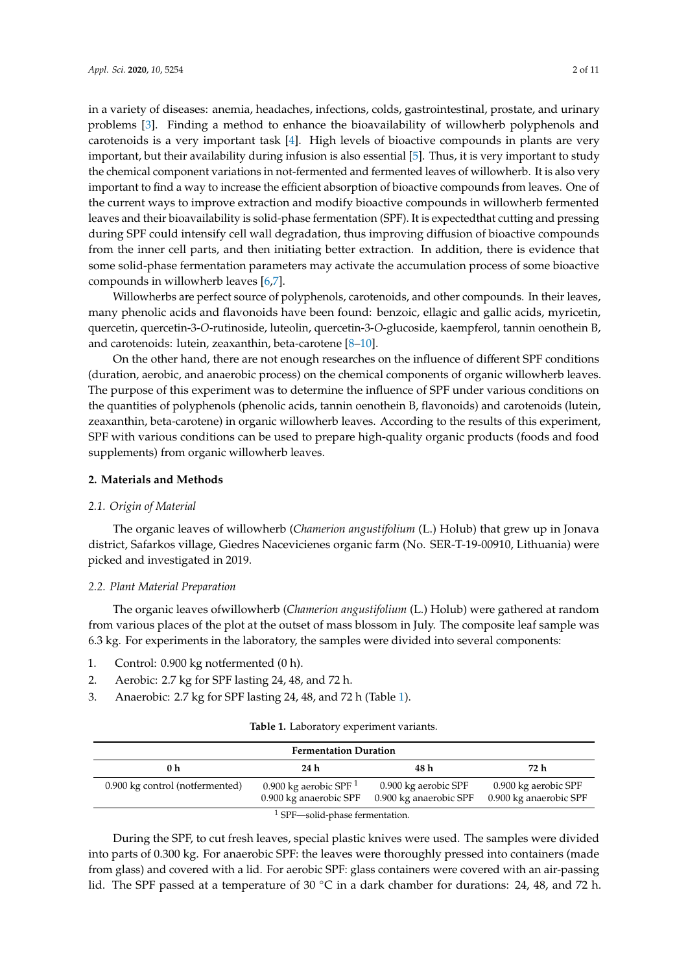in a variety of diseases: anemia, headaches, infections, colds, gastrointestinal, prostate, and urinary problems [\[3\]](#page-9-0). Finding a method to enhance the bioavailability of willowherb polyphenols and carotenoids is a very important task [\[4\]](#page-9-1). High levels of bioactive compounds in plants are very important, but their availability during infusion is also essential [\[5\]](#page-9-2). Thus, it is very important to study the chemical component variations in not-fermented and fermented leaves of willowherb. It is also very important to find a way to increase the efficient absorption of bioactive compounds from leaves. One of the current ways to improve extraction and modify bioactive compounds in willowherb fermented leaves and their bioavailability is solid-phase fermentation (SPF). It is expectedthat cutting and pressing during SPF could intensify cell wall degradation, thus improving diffusion of bioactive compounds from the inner cell parts, and then initiating better extraction. In addition, there is evidence that some solid-phase fermentation parameters may activate the accumulation process of some bioactive compounds in willowherb leaves [\[6,](#page-9-3)[7\]](#page-9-4).

Willowherbs are perfect source of polyphenols, carotenoids, and other compounds. In their leaves, many phenolic acids and flavonoids have been found: benzoic, ellagic and gallic acids, myricetin, quercetin, quercetin-3-*O*-rutinoside, luteolin, quercetin-3-*O*-glucoside, kaempferol, tannin oenothein B, and carotenoids: lutein, zeaxanthin, beta-carotene [\[8–](#page-9-5)[10\]](#page-9-6).

On the other hand, there are not enough researches on the influence of different SPF conditions (duration, aerobic, and anaerobic process) on the chemical components of organic willowherb leaves. The purpose of this experiment was to determine the influence of SPF under various conditions on the quantities of polyphenols (phenolic acids, tannin oenothein B, flavonoids) and carotenoids (lutein, zeaxanthin, beta-carotene) in organic willowherb leaves. According to the results of this experiment, SPF with various conditions can be used to prepare high-quality organic products (foods and food supplements) from organic willowherb leaves.

#### **2. Materials and Methods**

#### *2.1. Origin of Material*

The organic leaves of willowherb (*Chamerion angustifolium* (L.) Holub) that grew up in Jonava district, Safarkos village, Giedres Nacevicienes organic farm (No. SER-T-19-00910, Lithuania) were picked and investigated in 2019.

#### *2.2. Plant Material Preparation*

The organic leaves ofwillowherb (*Chamerion angustifolium* (L.) Holub) were gathered at random from various places of the plot at the outset of mass blossom in July. The composite leaf sample was 6.3 kg. For experiments in the laboratory, the samples were divided into several components:

- 1. Control: 0.900 kg notfermented (0 h).
- 2. Aerobic: 2.7 kg for SPF lasting 24, 48, and 72 h.
- <span id="page-1-0"></span>3. Anaerobic: 2.7 kg for SPF lasting 24, 48, and 72 h (Table [1\)](#page-1-0).

| Table 1. Laboratory experiment variants. |  |  |  |
|------------------------------------------|--|--|--|
|------------------------------------------|--|--|--|

| <b>Fermentation Duration</b>               |                                                    |                                                |                                                |  |  |  |
|--------------------------------------------|----------------------------------------------------|------------------------------------------------|------------------------------------------------|--|--|--|
| 72 h<br>24 h<br>48 h<br>0 h                |                                                    |                                                |                                                |  |  |  |
| 0.900 kg control (notfermented)            | 0.900 kg aerobic SPF $1$<br>0.900 kg anaerobic SPF | 0.900 kg aerobic SPF<br>0.900 kg anaerobic SPF | 0.900 kg aerobic SPF<br>0.900 kg anaerobic SPF |  |  |  |
| <sup>1</sup> SPF—solid-phase fermentation. |                                                    |                                                |                                                |  |  |  |

During the SPF, to cut fresh leaves, special plastic knives were used. The samples were divided into parts of 0.300 kg. For anaerobic SPF: the leaves were thoroughly pressed into containers (made from glass) and covered with a lid. For aerobic SPF: glass containers were covered with an air-passing lid. The SPF passed at a temperature of 30  $\degree$ C in a dark chamber for durations: 24, 48, and 72 h.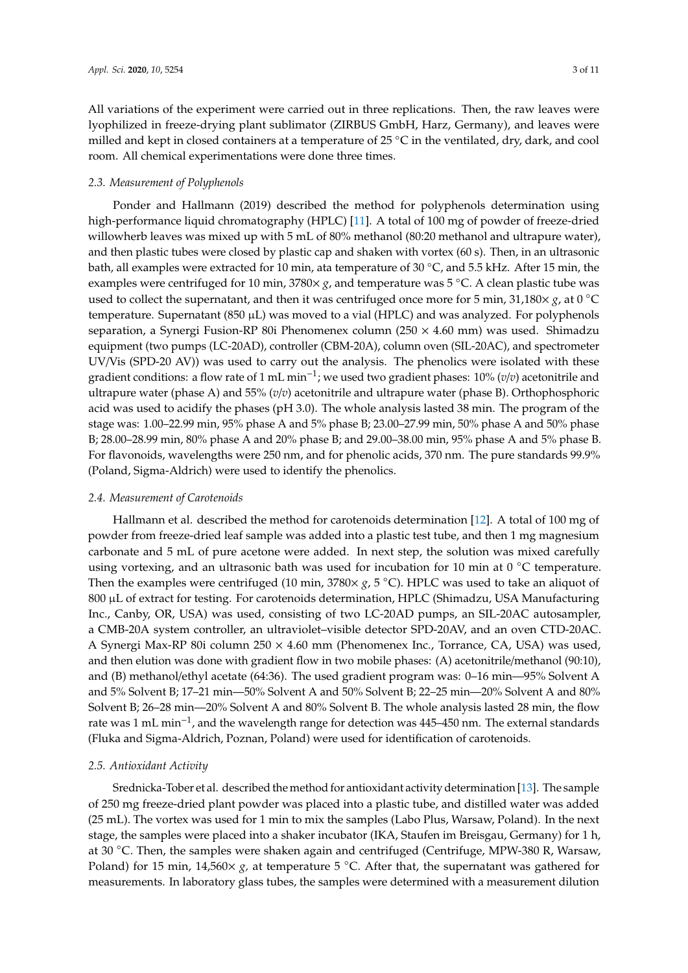All variations of the experiment were carried out in three replications. Then, the raw leaves were lyophilized in freeze-drying plant sublimator (ZIRBUS GmbH, Harz, Germany), and leaves were milled and kept in closed containers at a temperature of 25 ◦C in the ventilated, dry, dark, and cool room. All chemical experimentations were done three times.

#### *2.3. Measurement of Polyphenols*

Ponder and Hallmann (2019) described the method for polyphenols determination using high-performance liquid chromatography (HPLC) [\[11\]](#page-9-7). A total of 100 mg of powder of freeze-dried willowherb leaves was mixed up with 5 mL of 80% methanol (80:20 methanol and ultrapure water), and then plastic tubes were closed by plastic cap and shaken with vortex (60 s). Then, in an ultrasonic bath, all examples were extracted for 10 min, ata temperature of 30 ◦C, and 5.5 kHz. After 15 min, the examples were centrifuged for 10 min, 3780× *g*, and temperature was 5 ◦C. A clean plastic tube was used to collect the supernatant, and then it was centrifuged once more for 5 min,  $31,180\times g$ , at 0 °C temperature. Supernatant (850  $\mu$ L) was moved to a vial (HPLC) and was analyzed. For polyphenols separation, a Synergi Fusion-RP 80i Phenomenex column ( $250 \times 4.60$  mm) was used. Shimadzu equipment (two pumps (LC-20AD), controller (CBM-20A), column oven (SIL-20AC), and spectrometer UV/Vis (SPD-20 AV)) was used to carry out the analysis. The phenolics were isolated with these gradient conditions: a flow rate of 1 mL min−<sup>1</sup> ; we used two gradient phases: 10% (*v*/*v*) acetonitrile and ultrapure water (phase A) and 55% (*v*/*v*) acetonitrile and ultrapure water (phase B). Orthophosphoric acid was used to acidify the phases (pH 3.0). The whole analysis lasted 38 min. The program of the stage was: 1.00–22.99 min, 95% phase A and 5% phase B; 23.00–27.99 min, 50% phase A and 50% phase B; 28.00–28.99 min, 80% phase A and 20% phase B; and 29.00–38.00 min, 95% phase A and 5% phase B. For flavonoids, wavelengths were 250 nm, and for phenolic acids, 370 nm. The pure standards 99.9% (Poland, Sigma-Aldrich) were used to identify the phenolics.

#### *2.4. Measurement of Carotenoids*

Hallmann et al. described the method for carotenoids determination [\[12\]](#page-9-8). A total of 100 mg of powder from freeze-dried leaf sample was added into a plastic test tube, and then 1 mg magnesium carbonate and 5 mL of pure acetone were added. In next step, the solution was mixed carefully using vortexing, and an ultrasonic bath was used for incubation for 10 min at  $0^{\circ}$ C temperature. Then the examples were centrifuged (10 min, 3780× *g*, 5 ◦C). HPLC was used to take an aliquot of 800 µL of extract for testing. For carotenoids determination, HPLC (Shimadzu, USA Manufacturing Inc., Canby, OR, USA) was used, consisting of two LC-20AD pumps, an SIL-20AC autosampler, a CMB-20A system controller, an ultraviolet–visible detector SPD-20AV, and an oven CTD-20AC. A Synergi Max-RP 80i column 250 × 4.60 mm (Phenomenex Inc., Torrance, CA, USA) was used, and then elution was done with gradient flow in two mobile phases: (A) acetonitrile/methanol (90:10), and (B) methanol/ethyl acetate (64:36). The used gradient program was: 0–16 min—95% Solvent A and 5% Solvent B; 17–21 min—50% Solvent A and 50% Solvent B; 22–25 min—20% Solvent A and 80% Solvent B; 26–28 min—20% Solvent A and 80% Solvent B. The whole analysis lasted 28 min, the flow rate was 1 mL min−<sup>1</sup> , and the wavelength range for detection was 445–450 nm. The external standards (Fluka and Sigma-Aldrich, Poznan, Poland) were used for identification of carotenoids.

#### *2.5. Antioxidant Activity*

Srednicka-Tober et al. described the method for antioxidant activity determination [\[13\]](#page-9-9). The sample of 250 mg freeze-dried plant powder was placed into a plastic tube, and distilled water was added (25 mL). The vortex was used for 1 min to mix the samples (Labo Plus, Warsaw, Poland). In the next stage, the samples were placed into a shaker incubator (IKA, Staufen im Breisgau, Germany) for 1 h, at 30 ◦C. Then, the samples were shaken again and centrifuged (Centrifuge, MPW-380 R, Warsaw, Poland) for 15 min,  $14,560 \times g$ , at temperature 5 °C. After that, the supernatant was gathered for measurements. In laboratory glass tubes, the samples were determined with a measurement dilution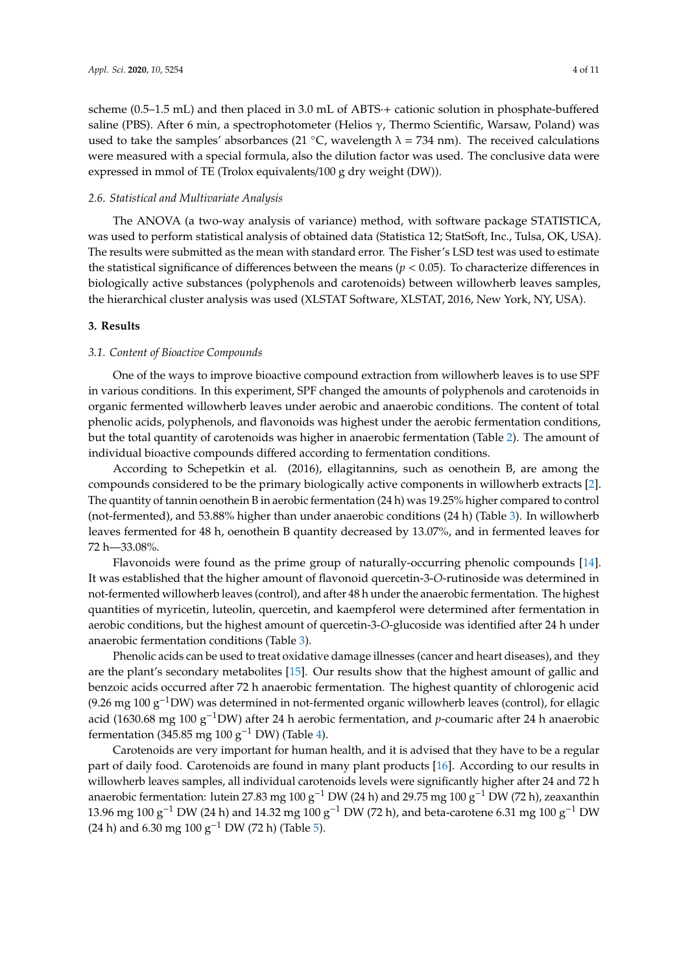scheme (0.5–1.5 mL) and then placed in 3.0 mL of ABTS·+ cationic solution in phosphate-buffered saline (PBS). After 6 min, a spectrophotometer (Helios γ, Thermo Scientific, Warsaw, Poland) was used to take the samples' absorbances (21 °C, wavelength  $\lambda = 734$  nm). The received calculations were measured with a special formula, also the dilution factor was used. The conclusive data were expressed in mmol of TE (Trolox equivalents/100 g dry weight (DW)).

#### *2.6. Statistical and Multivariate Analysis*

The ANOVA (a two-way analysis of variance) method, with software package STATISTICA, was used to perform statistical analysis of obtained data (Statistica 12; StatSoft, Inc., Tulsa, OK, USA). The results were submitted as the mean with standard error. The Fisher's LSD test was used to estimate the statistical significance of differences between the means (*p* < 0.05). To characterize differences in biologically active substances (polyphenols and carotenoids) between willowherb leaves samples, the hierarchical cluster analysis was used (XLSTAT Software, XLSTAT, 2016, New York, NY, USA).

#### **3. Results**

#### *3.1. Content of Bioactive Compounds*

One of the ways to improve bioactive compound extraction from willowherb leaves is to use SPF in various conditions. In this experiment, SPF changed the amounts of polyphenols and carotenoids in organic fermented willowherb leaves under aerobic and anaerobic conditions. The content of total phenolic acids, polyphenols, and flavonoids was highest under the aerobic fermentation conditions, but the total quantity of carotenoids was higher in anaerobic fermentation (Table [2\)](#page-4-0). The amount of individual bioactive compounds differed according to fermentation conditions.

According to Schepetkin et al. (2016), ellagitannins, such as oenothein B, are among the compounds considered to be the primary biologically active components in willowherb extracts [\[2\]](#page-8-1). The quantity of tannin oenothein B in aerobic fermentation (24 h) was 19.25% higher compared to control (not-fermented), and 53.88% higher than under anaerobic conditions (24 h) (Table [3\)](#page-4-1). In willowherb leaves fermented for 48 h, oenothein B quantity decreased by 13.07%, and in fermented leaves for 72 h—33.08%.

Flavonoids were found as the prime group of naturally-occurring phenolic compounds [\[14\]](#page-9-10). It was established that the higher amount of flavonoid quercetin-3-*O*-rutinoside was determined in not-fermented willowherb leaves (control), and after 48 h under the anaerobic fermentation. The highest quantities of myricetin, luteolin, quercetin, and kaempferol were determined after fermentation in aerobic conditions, but the highest amount of quercetin-3-*O*-glucoside was identified after 24 h under anaerobic fermentation conditions (Table [3\)](#page-4-1).

Phenolic acids can be used to treat oxidative damage illnesses (cancer and heart diseases), and they are the plant's secondary metabolites [\[15\]](#page-9-11). Our results show that the highest amount of gallic and benzoic acids occurred after 72 h anaerobic fermentation. The highest quantity of chlorogenic acid (9.26 mg 100 g<sup>-1</sup>DW) was determined in not-fermented organic willowherb leaves (control), for ellagic acid (1630.68 mg 100 g−1DW) after 24 h aerobic fermentation, and *p*-coumaric after 24 h anaerobic fermentation (345.85 mg 100 g<sup>-1</sup> DW) (Table [4\)](#page-5-0).

Carotenoids are very important for human health, and it is advised that they have to be a regular part of daily food. Carotenoids are found in many plant products [\[16\]](#page-9-12). According to our results in willowherb leaves samples, all individual carotenoids levels were significantly higher after 24 and 72 h anaerobic fermentation: lutein 27.83 mg 100 g−<sup>1</sup> DW (24 h) and 29.75 mg 100 g−<sup>1</sup> DW (72 h), zeaxanthin 13.96 mg 100 g−<sup>1</sup> DW (24 h) and 14.32 mg 100 g−<sup>1</sup> DW (72 h), and beta-carotene 6.31 mg 100 g−<sup>1</sup> DW (24 h) and 6.30 mg 100 g<sup>-1</sup> DW (72 h) (Table [5\)](#page-5-1).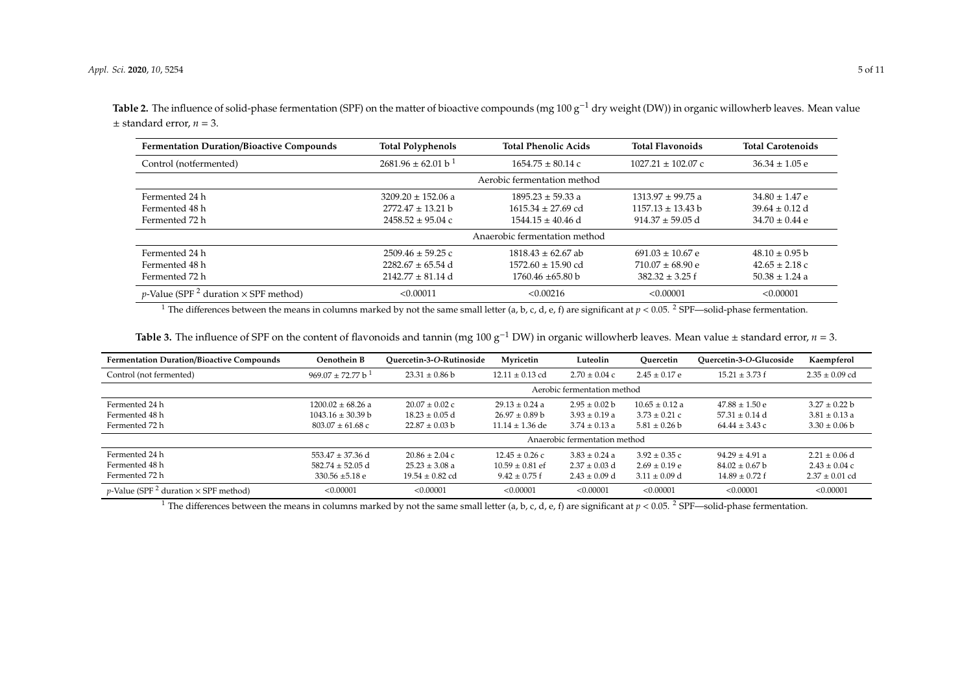Table 2. The influence of solid-phase fermentation (SPF) on the matter of bioactive compounds (mg 100 g<sup>-1</sup> dry weight (DW)) in organic willowherb leaves. Mean value  $\pm$  standard error,  $n = 3$ .

| <b>Fermentation Duration/Bioactive Compounds</b>                | <b>Total Polyphenols</b>           | <b>Total Phenolic Acids</b>   | <b>Total Flavonoids</b> | <b>Total Carotenoids</b> |
|-----------------------------------------------------------------|------------------------------------|-------------------------------|-------------------------|--------------------------|
| Control (notfermented)                                          | $2681.96 \pm 62.01 b$ <sup>1</sup> | $1654.75 \pm 80.14$ c         | $1027.21 \pm 102.07$ c  | $36.34 \pm 1.05$ e       |
|                                                                 |                                    | Aerobic fermentation method   |                         |                          |
| Fermented 24 h                                                  | $3209.20 \pm 152.06$ a             | $1895.23 \pm 59.33$ a         | $1313.97 \pm 99.75$ a   | $34.80 \pm 1.47$ e       |
| Fermented 48 h                                                  | $2772.47 \pm 13.21$ b              | $1615.34 \pm 27.69$ cd        | $1157.13 \pm 13.43$ b   | $39.64 \pm 0.12$ d       |
| Fermented 72 h                                                  | $2458.52 \pm 95.04$ c              | $1544.15 \pm 40.46$ d         | $914.37 \pm 59.05$ d    | $34.70 \pm 0.44$ e       |
|                                                                 |                                    | Anaerobic fermentation method |                         |                          |
| Fermented 24 h                                                  | $2509.46 \pm 59.25$ c              | $1818.43 \pm 62.67$ ab        | $691.03 \pm 10.67$ e    | $48.10 \pm 0.95$ b       |
| Fermented 48 h                                                  | $2282.67 \pm 65.54$ d              | $1572.60 \pm 15.90$ cd        | $710.07 \pm 68.90$ e    | $42.65 \pm 2.18$ c       |
| Fermented 72 h                                                  | $2142.77 \pm 81.14$ d              | $1760.46 \pm 65.80 b$         | $382.32 \pm 3.25$ f     | $50.38 \pm 1.24$ a       |
| <i>p</i> -Value (SPF <sup>2</sup> duration $\times$ SPF method) | < 0.00011                          | < 0.00216                     | < 0.00001               | < 0.00001                |

<sup>1</sup> The differences between the means in columns marked by not the same small letter (a, b, c, d, e, f) are significant at  $p < 0.05$ . <sup>2</sup> SPF—solid-phase fermentation.

| Table 3. The influence of SPF on the content of flavonoids and tannin (mg 100 g <sup>-1</sup> DW) in organic willowherb leaves. Mean value $\pm$ standard error, $n = 3$ . |  |
|----------------------------------------------------------------------------------------------------------------------------------------------------------------------------|--|
|----------------------------------------------------------------------------------------------------------------------------------------------------------------------------|--|

<span id="page-4-0"></span>

| <b>Fermentation Duration/Bioactive Compounds</b>                | Oenothein B                     | Ouercetin-3-O-Rutinoside | Myricetin           | Luteolin                      | Ouercetin         | Ouercetin-3-O-Glucoside | Kaempferol         |
|-----------------------------------------------------------------|---------------------------------|--------------------------|---------------------|-------------------------------|-------------------|-------------------------|--------------------|
| Control (not fermented)                                         | $969.07 + 72.77 b$ <sup>1</sup> | $23.31 \pm 0.86$ b       | $12.11 \pm 0.13$ cd | $2.70 \pm 0.04$ c             | $2.45 \pm 0.17$ e | $15.21 \pm 3.73$ f      | $2.35 \pm 0.09$ cd |
|                                                                 |                                 |                          |                     | Aerobic fermentation method   |                   |                         |                    |
| Fermented 24 h                                                  | $1200.02 + 68.26$ a             | $20.07 + 0.02c$          | $29.13 + 0.24$ a    | $2.95 + 0.02$ b               | $10.65 + 0.12$ a  | $47.88 + 1.50 e$        | $3.27 + 0.22$ b    |
| Fermented 48 h                                                  | $1043.16 \pm 30.39 b$           | $18.23 \pm 0.05$ d       | $26.97 \pm 0.89$ b  | $3.93 \pm 0.19$ a             | $3.73 \pm 0.21$ c | $57.31 \pm 0.14$ d      | $3.81 \pm 0.13$ a  |
| Fermented 72 h                                                  | $803.07 \pm 61.68$ c            | $22.87 \pm 0.03$ b       | $11.14 \pm 1.36$ de | $3.74 \pm 0.13$ a             | $5.81 \pm 0.26$ b | $64.44 \pm 3.43$ c      | $3.30 \pm 0.06$ b  |
|                                                                 |                                 |                          |                     | Anaerobic fermentation method |                   |                         |                    |
| Fermented 24 h                                                  | $553.47 + 37.36$ d              | $20.86 + 2.04c$          | $12.45 + 0.26c$     | $3.83 + 0.24$ a               | $3.92 \pm 0.35$ c | $94.29 + 4.91$ a        | $2.21 + 0.06$ d    |
| Fermented 48 h                                                  | $582.74 + 52.05$ d              | $25.23 + 3.08$ a         | $10.59 + 0.81$ ef   | $2.37 + 0.03$ d               | $2.69 + 0.19e$    | $84.02 \pm 0.67$ b      | $2.43 + 0.04c$     |
| Fermented 72 h                                                  | 330.56 $\pm$ 5.18 e             | $19.54 \pm 0.82$ cd      | $9.42 \pm 0.75$ f   | $2.43 \pm 0.09$ d             | $3.11 + 0.09$ d   | $14.89 + 0.72$ f        | $2.37 \pm 0.01$ cd |
| <i>p</i> -Value (SPF <sup>2</sup> duration $\times$ SPF method) | < 0.00001                       | < 0.00001                | < 0.00001           | < 0.00001                     | < 0.00001         | < 0.00001               | < 0.00001          |

<span id="page-4-1"></span><sup>1</sup> The differences between the means in columns marked by not the same small letter  $(a, b, c, d, e, f)$  are significant at  $p < 0.05$ . <sup>2</sup> SPF—solid-phase fermentation.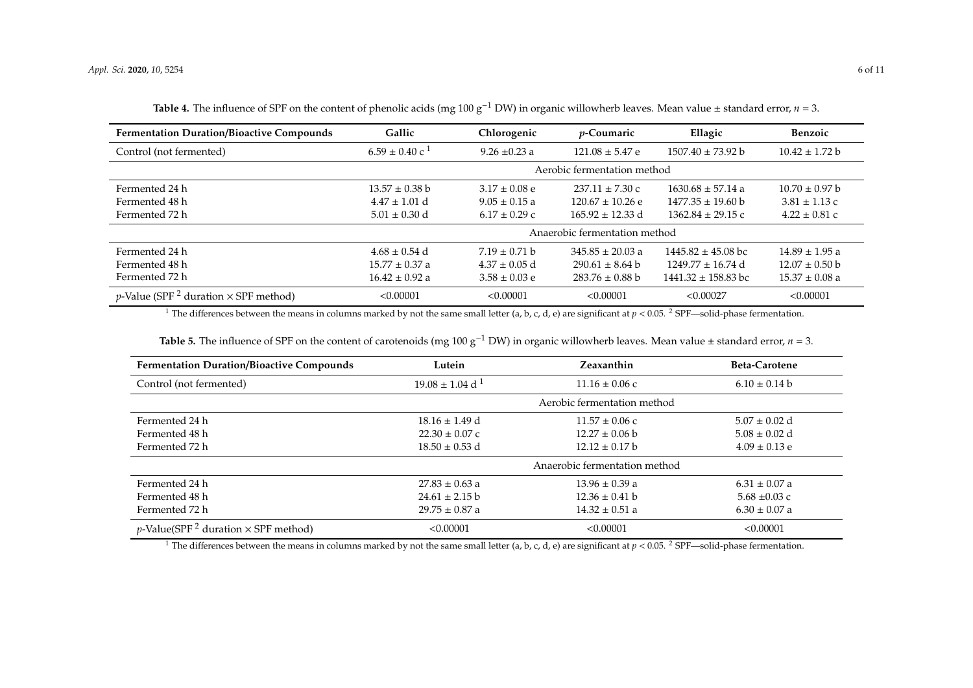| <b>Fermentation Duration/Bioactive Compounds</b>                | Gallic                      | Chlorogenic       | <i>p</i> -Coumaric            | Ellagic                       | <b>Benzoic</b>     |
|-----------------------------------------------------------------|-----------------------------|-------------------|-------------------------------|-------------------------------|--------------------|
| Control (not fermented)                                         | $6.59 \pm 0.40 \text{ c}^1$ | $9.26 \pm 0.23$ a | $121.08 \pm 5.47$ e           | $1507.40 \pm 73.92 b$         | $10.42 \pm 1.72 b$ |
|                                                                 |                             |                   | Aerobic fermentation method   |                               |                    |
| Fermented 24 h                                                  | $13.57 \pm 0.38$ b          | $3.17 \pm 0.08$ e | $237.11 \pm 7.30$ c           | $1630.68 \pm 57.14$ a         | $10.70 \pm 0.97$ b |
| Fermented 48 h                                                  | $4.47 \pm 1.01$ d           | $9.05 \pm 0.15$ a | $120.67 \pm 10.26$ e          | $1477.35 \pm 19.60 \text{ b}$ | $3.81 \pm 1.13$ c  |
| Fermented 72 h                                                  | $5.01 \pm 0.30$ d           | $6.17 \pm 0.29$ c | $165.92 \pm 12.33$ d          | $1362.84 \pm 29.15$ c         | $4.22 \pm 0.81$ c  |
|                                                                 |                             |                   | Anaerobic fermentation method |                               |                    |
| Fermented 24 h                                                  | $4.68 \pm 0.54$ d           | $7.19 \pm 0.71$ b | $345.85 \pm 20.03$ a          | $1445.82 \pm 45.08$ bc        | $14.89 \pm 1.95$ a |
| Fermented 48 h                                                  | $15.77 \pm 0.37$ a          | $4.37 \pm 0.05$ d | $290.61 \pm 8.64$ b           | $1249.77 \pm 16.74$ d         | $12.07 \pm 0.50$ b |
| Fermented 72 h                                                  | $16.42 \pm 0.92$ a          | $3.58 \pm 0.03$ e | $283.76 \pm 0.88$ b           | $1441.32 \pm 158.83$ bc       | $15.37 \pm 0.08$ a |
| <i>p</i> -Value (SPF <sup>2</sup> duration $\times$ SPF method) | < 0.00001                   | < 0.00001         | < 0.00001                     | < 0.00027                     | < 0.00001          |

**Table 4.** The influence of SPF on the content of phenolic acids (mg 100 g<sup>-1</sup> DW) in organic willowherb leaves. Mean value ± standard error, *n* = 3.

<sup>1</sup> The differences between the means in columns marked by not the same small letter (a, b, c, d, e) are significant at  $p < 0.05$ . <sup>2</sup> SPF—solid-phase fermentation.

|  |  | Table 5. The influence of SPF on the content of carotenoids (mg 100 $g^{-1}$ DW) in organic willowherb leaves. Mean value $\pm$ standard error, $n = 3$ . |
|--|--|-----------------------------------------------------------------------------------------------------------------------------------------------------------|
|--|--|-----------------------------------------------------------------------------------------------------------------------------------------------------------|

<span id="page-5-0"></span>

| <b>Fermentation Duration/Bioactive Compounds</b>               | Lutein                          | Zeaxanthin                    | <b>Beta-Carotene</b> |
|----------------------------------------------------------------|---------------------------------|-------------------------------|----------------------|
| Control (not fermented)                                        | $19.08 \pm 1.04$ d <sup>1</sup> | $11.16 \pm 0.06$ c            | $6.10 \pm 0.14 b$    |
|                                                                |                                 | Aerobic fermentation method   |                      |
| Fermented 24 h                                                 | $18.16 \pm 1.49$ d              | $11.57 \pm 0.06$ c            | $5.07 \pm 0.02$ d    |
| Fermented 48 h                                                 | $22.30 \pm 0.07$ c              | $12.27 \pm 0.06$ b            | $5.08 \pm 0.02$ d    |
| Fermented 72 h                                                 | $18.50 \pm 0.53$ d              | $12.12 \pm 0.17$ b            | $4.09 \pm 0.13$ e    |
|                                                                |                                 | Anaerobic fermentation method |                      |
| Fermented 24 h                                                 | $27.83 \pm 0.63$ a              | $13.96 \pm 0.39$ a            | $6.31 \pm 0.07$ a    |
| Fermented 48 h                                                 | $24.61 \pm 2.15$ b              | $12.36 \pm 0.41$ b            | $5.68 \pm 0.03$ c    |
| Fermented 72 h                                                 | $29.75 \pm 0.87$ a              | $14.32 \pm 0.51$ a            | $6.30 \pm 0.07$ a    |
| <i>p</i> -Value(SPF <sup>2</sup> duration $\times$ SPF method) | < 0.00001                       | < 0.00001                     | < 0.00001            |

<span id="page-5-1"></span><sup>1</sup> The differences between the means in columns marked by not the same small letter (a, b, c, d, e) are significant at  $p < 0.05$ . <sup>2</sup> SPF—solid-phase fermentation.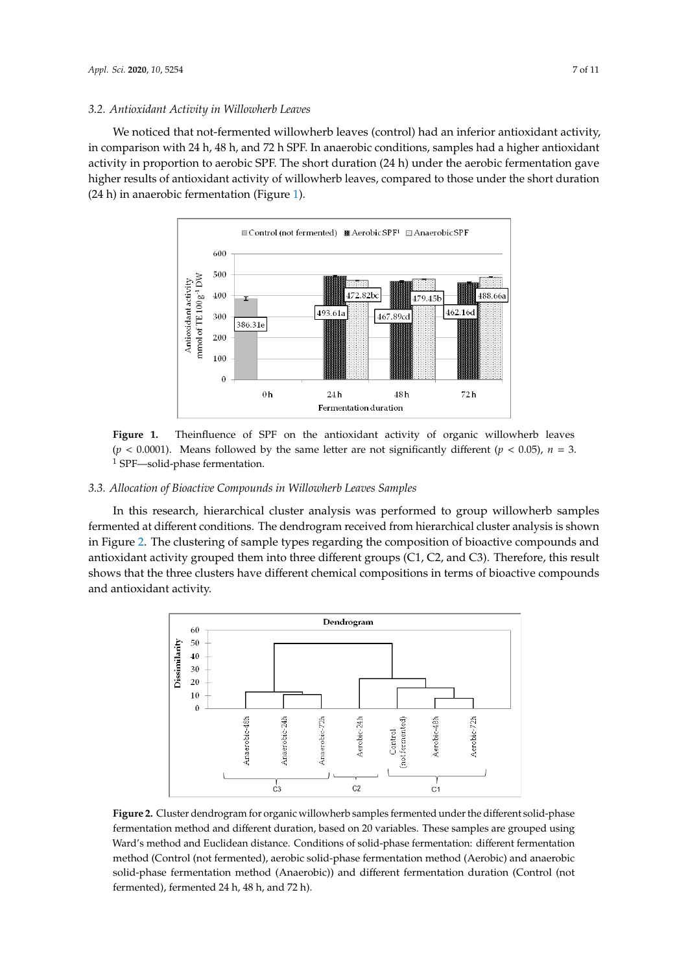#### *3.2. Antioxidant Activity in Willowherb Leaves*

We noticed that not-fermented willowherb leaves (control) had an inferior antioxidant activity, *3.2. Antioxidant Activity in Willowherb Leaves* in comparison with 24 h, 48 h, and 72 h SPF. In anaerobic conditions, samples had a higher antioxidant  $\,$ activity in proportion to aerobic SPF. The short duration (24 h) under the aerobic fermentation gave higher results of antioxidant activity of willowherb leaves, compared to those under the short duration  $(24 h)$  in anaerobic fermentation (Figure [1\)](#page-6-0).  $\frac{1}{2}$  in analysis duration (Figure 1).

<span id="page-6-0"></span>

Figure 1. Theinfluence of SPF on the antioxidant activity of organic willowherb leaves  $M_{\rm Edd}$  or  $\epsilon$  denoted by the same letter are not significantly different (*p*<sub>=</sub>  $\epsilon$  0.05),  $(p < 0.0001)$ . Means followed by the same letter are not significantly different  $(p < 0.05)$ ,  $n = 3$ . <sup>1</sup> SPF—solid-phase fermentation.

# 3.3. Allocation of Bioactive Compounds in Willowherb Leaves Samples

In this research, hierarchical cluster analysis was performed to group willowherb samples fermented at different conditions. The dendrogram received from hierarchical cluster analysis is shown compounds and antioxidant activity grouped three different groups (C1, C2, and C3). in Figure [2.](#page-6-1) The clustering of sample types regarding the composition of bioactive compounds and antioxidant activity grouped them into three different groups (C1, C2, and C3). Therefore, this result shows that the three clusters have different chemical compositions in terms of bioactive compounds and antioxidant activity. The lutescale acid (Figure 2). According  $2$  has a robic-24 h  $\sim$ 24 h  $\sim$ 24 h  $\sim$ 24 h  $\sim$ 24 h  $\sim$ 24 h  $\sim$ 24 h  $\sim$ 24 h  $\sim$ 24 h  $\sim$ 24 h  $\sim$ 24 h  $\sim$ 24 h  $\sim$ 24 h  $\sim$ 24 h  $\sim$ 24 h  $\sim$ 24 h  $f_{\text{rel}}(C_1, C_2)$  in the density was formed regarding the higher contents of  $\alpha$ 

<span id="page-6-1"></span>

**Figure 2.** Cluster dendrogram for organic willowherb samples fermented under the different **Figure 2.** Cluster dendrogram for organic willowherb samples fermented under the different solid-phase solid-phase fermentation method and different duration, based on  $20$  variables. These samples are samples are samples are samples are samples are samples are samples are samples are samples are samples are samples are sa fermentation method and different duration, based on 20 variables. These samples are grouped using Ward's method and Euclidean distance. Conditions of solid-phase fermentation: different fermentation method (Control (not fermented), aerobic solid-phase fermentation method (Aerobic) and anaerobic solid-phase fermentation method (Anaerobic)) and different fermentation duration (Control (not fermented), fermented 24 h, 48 h, and 72 h).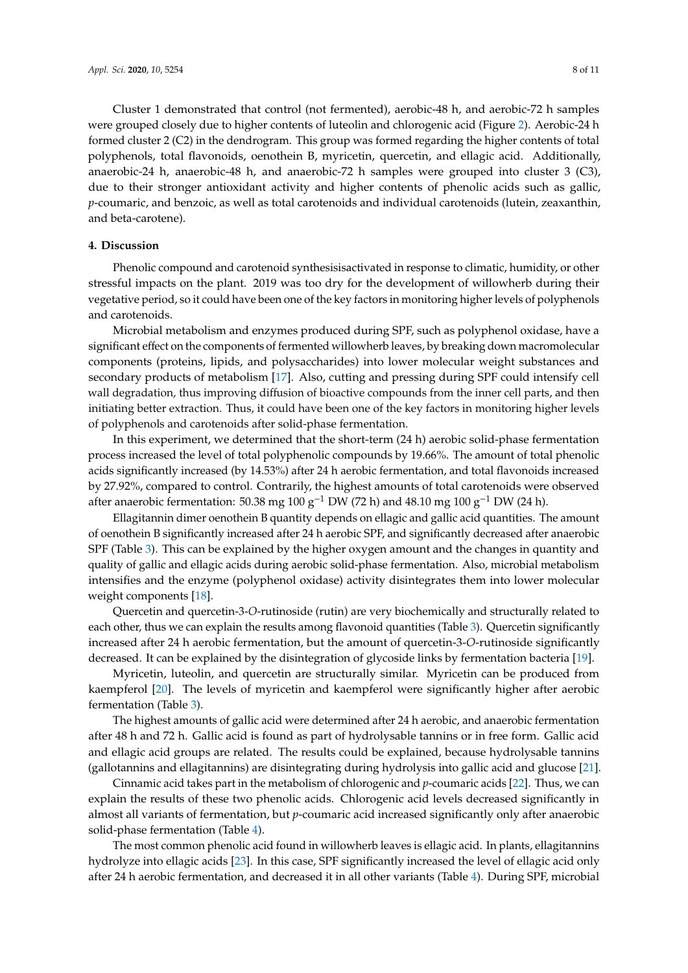Cluster 1 demonstrated that control (not fermented), aerobic-48 h, and aerobic-72 h samples were grouped closely due to higher contents of luteolin and chlorogenic acid (Figure [2\)](#page-6-1). Aerobic-24 h formed cluster 2 (C2) in the dendrogram. This group was formed regarding the higher contents of total polyphenols, total flavonoids, oenothein B, myricetin, quercetin, and ellagic acid. Additionally, anaerobic-24 h, anaerobic-48 h, and anaerobic-72 h samples were grouped into cluster 3 (C3), due to their stronger antioxidant activity and higher contents of phenolic acids such as gallic, *p*-coumaric, and benzoic, as well as total carotenoids and individual carotenoids (lutein, zeaxanthin, and beta-carotene).

#### **4. Discussion**

Phenolic compound and carotenoid synthesisisactivated in response to climatic, humidity, or other stressful impacts on the plant. 2019 was too dry for the development of willowherb during their vegetative period, so it could have been one of the key factors in monitoring higher levels of polyphenols and carotenoids.

Microbial metabolism and enzymes produced during SPF, such as polyphenol oxidase, have a significant effect on the components of fermented willowherb leaves, by breaking down macromolecular components (proteins, lipids, and polysaccharides) into lower molecular weight substances and secondary products of metabolism [\[17\]](#page-9-13). Also, cutting and pressing during SPF could intensify cell wall degradation, thus improving diffusion of bioactive compounds from the inner cell parts, and then initiating better extraction. Thus, it could have been one of the key factors in monitoring higher levels of polyphenols and carotenoids after solid-phase fermentation.

In this experiment, we determined that the short-term (24 h) aerobic solid-phase fermentation process increased the level of total polyphenolic compounds by 19.66%. The amount of total phenolic acids significantly increased (by 14.53%) after 24 h aerobic fermentation, and total flavonoids increased by 27.92%, compared to control. Contrarily, the highest amounts of total carotenoids were observed after anaerobic fermentation: 50.38 mg 100 g<sup>-1</sup> DW (72 h) and 48.10 mg 100 g<sup>-1</sup> DW (24 h).

Ellagitannin dimer oenothein B quantity depends on ellagic and gallic acid quantities. The amount of oenothein B significantly increased after 24 h aerobic SPF, and significantly decreased after anaerobic SPF (Table [3\)](#page-4-1). This can be explained by the higher oxygen amount and the changes in quantity and quality of gallic and ellagic acids during aerobic solid-phase fermentation. Also, microbial metabolism intensifies and the enzyme (polyphenol oxidase) activity disintegrates them into lower molecular weight components [\[18\]](#page-9-14).

Quercetin and quercetin-3-*O*-rutinoside (rutin) are very biochemically and structurally related to each other, thus we can explain the results among flavonoid quantities (Table [3\)](#page-4-1). Quercetin significantly increased after 24 h aerobic fermentation, but the amount of quercetin-3-*O*-rutinoside significantly decreased. It can be explained by the disintegration of glycoside links by fermentation bacteria [\[19\]](#page-9-15).

Myricetin, luteolin, and quercetin are structurally similar. Myricetin can be produced from kaempferol [\[20\]](#page-9-16). The levels of myricetin and kaempferol were significantly higher after aerobic fermentation (Table [3\)](#page-4-1).

The highest amounts of gallic acid were determined after 24 h aerobic, and anaerobic fermentation after 48 h and 72 h. Gallic acid is found as part of hydrolysable tannins or in free form. Gallic acid and ellagic acid groups are related. The results could be explained, because hydrolysable tannins (gallotannins and ellagitannins) are disintegrating during hydrolysis into gallic acid and glucose [\[21\]](#page-9-17).

Cinnamic acid takes part in the metabolism of chlorogenic and *p*-coumaric acids [\[22\]](#page-9-18). Thus, we can explain the results of these two phenolic acids. Chlorogenic acid levels decreased significantly in almost all variants of fermentation, but *p*-coumaric acid increased significantly only after anaerobic solid-phase fermentation (Table [4\)](#page-5-0).

The most common phenolic acid found in willowherb leaves is ellagic acid. In plants, ellagitannins hydrolyze into ellagic acids [\[23\]](#page-9-19). In this case, SPF significantly increased the level of ellagic acid only after 24 h aerobic fermentation, and decreased it in all other variants (Table [4\)](#page-5-0). During SPF, microbial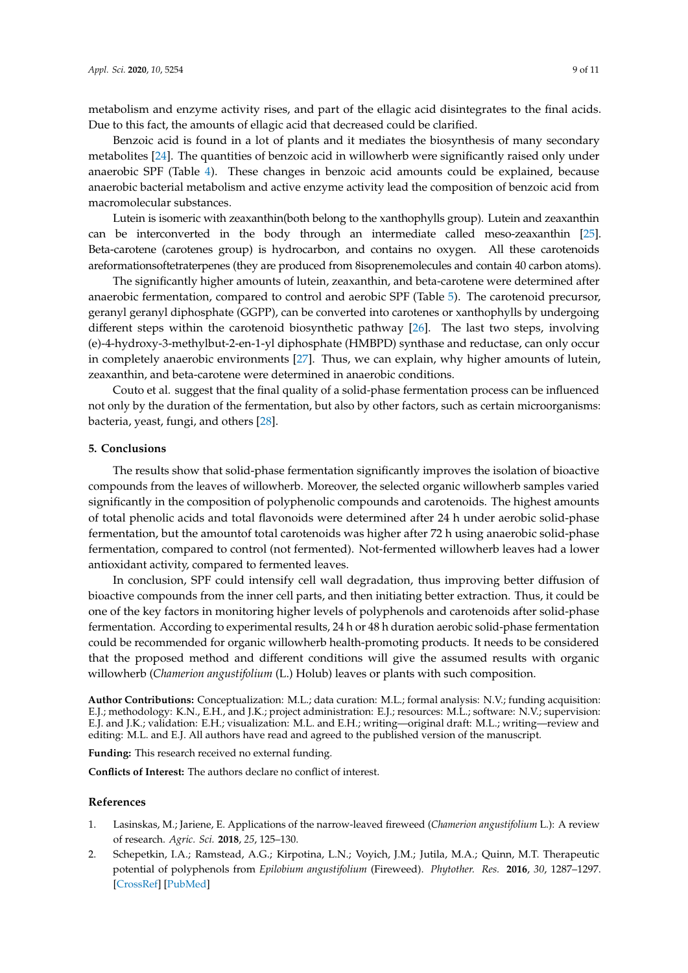metabolism and enzyme activity rises, and part of the ellagic acid disintegrates to the final acids. Due to this fact, the amounts of ellagic acid that decreased could be clarified.

Benzoic acid is found in a lot of plants and it mediates the biosynthesis of many secondary metabolites [\[24\]](#page-10-0). The quantities of benzoic acid in willowherb were significantly raised only under anaerobic SPF (Table [4\)](#page-5-0). These changes in benzoic acid amounts could be explained, because anaerobic bacterial metabolism and active enzyme activity lead the composition of benzoic acid from macromolecular substances.

Lutein is isomeric with zeaxanthin(both belong to the xanthophylls group). Lutein and zeaxanthin can be interconverted in the body through an intermediate called meso-zeaxanthin [\[25\]](#page-10-1). Beta-carotene (carotenes group) is hydrocarbon, and contains no oxygen. All these carotenoids areformationsoftetraterpenes (they are produced from 8isoprenemolecules and contain 40 carbon atoms).

The significantly higher amounts of lutein, zeaxanthin, and beta-carotene were determined after anaerobic fermentation, compared to control and aerobic SPF (Table [5\)](#page-5-1). The carotenoid precursor, geranyl geranyl diphosphate (GGPP), can be converted into carotenes or xanthophylls by undergoing different steps within the carotenoid biosynthetic pathway [\[26\]](#page-10-2). The last two steps, involving (e)-4-hydroxy-3-methylbut-2-en-1-yl diphosphate (HMBPD) synthase and reductase, can only occur in completely anaerobic environments [\[27\]](#page-10-3). Thus, we can explain, why higher amounts of lutein, zeaxanthin, and beta-carotene were determined in anaerobic conditions.

Couto et al. suggest that the final quality of a solid-phase fermentation process can be influenced not only by the duration of the fermentation, but also by other factors, such as certain microorganisms: bacteria, yeast, fungi, and others [\[28\]](#page-10-4).

#### **5. Conclusions**

The results show that solid-phase fermentation significantly improves the isolation of bioactive compounds from the leaves of willowherb. Moreover, the selected organic willowherb samples varied significantly in the composition of polyphenolic compounds and carotenoids. The highest amounts of total phenolic acids and total flavonoids were determined after 24 h under aerobic solid-phase fermentation, but the amountof total carotenoids was higher after 72 h using anaerobic solid-phase fermentation, compared to control (not fermented). Not-fermented willowherb leaves had a lower antioxidant activity, compared to fermented leaves.

In conclusion, SPF could intensify cell wall degradation, thus improving better diffusion of bioactive compounds from the inner cell parts, and then initiating better extraction. Thus, it could be one of the key factors in monitoring higher levels of polyphenols and carotenoids after solid-phase fermentation. According to experimental results, 24 h or 48 h duration aerobic solid-phase fermentation could be recommended for organic willowherb health-promoting products. It needs to be considered that the proposed method and different conditions will give the assumed results with organic willowherb (*Chamerion angustifolium* (L.) Holub) leaves or plants with such composition.

**Author Contributions:** Conceptualization: M.L.; data curation: M.L.; formal analysis: N.V.; funding acquisition: E.J.; methodology: K.N., E.H., and J.K.; project administration: E.J.; resources: M.L.; software: N.V.; supervision: E.J. and J.K.; validation: E.H.; visualization: M.L. and E.H.; writing—original draft: M.L.; writing—review and editing: M.L. and E.J. All authors have read and agreed to the published version of the manuscript.

**Funding:** This research received no external funding.

**Conflicts of Interest:** The authors declare no conflict of interest.

#### **References**

- <span id="page-8-0"></span>1. Lasinskas, M.; Jariene, E. Applications of the narrow-leaved fireweed (*Chamerion angustifolium* L.): A review of research. *Agric. Sci.* **2018**, *25*, 125–130.
- <span id="page-8-1"></span>2. Schepetkin, I.A.; Ramstead, A.G.; Kirpotina, L.N.; Voyich, J.M.; Jutila, M.A.; Quinn, M.T. Therapeutic potential of polyphenols from *Epilobium angustifolium* (Fireweed). *Phytother. Res.* **2016**, *30*, 1287–1297. [\[CrossRef\]](http://dx.doi.org/10.1002/ptr.5648) [\[PubMed\]](http://www.ncbi.nlm.nih.gov/pubmed/27215200)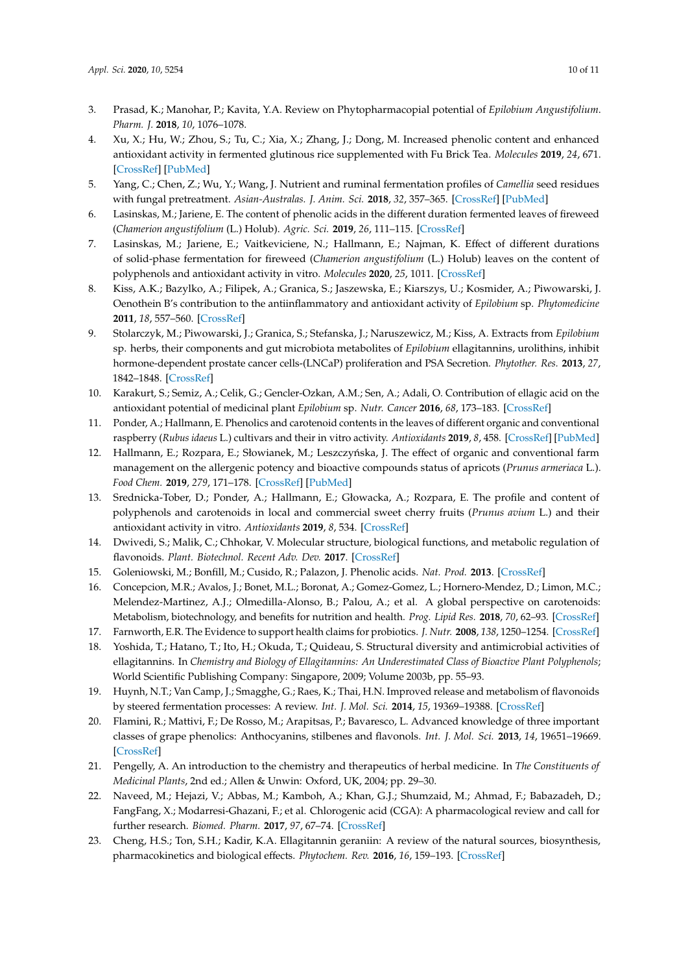- <span id="page-9-0"></span>3. Prasad, K.; Manohar, P.; Kavita, Y.A. Review on Phytopharmacopial potential of *Epilobium Angustifolium*. *Pharm. J.* **2018**, *10*, 1076–1078.
- <span id="page-9-1"></span>4. Xu, X.; Hu, W.; Zhou, S.; Tu, C.; Xia, X.; Zhang, J.; Dong, M. Increased phenolic content and enhanced antioxidant activity in fermented glutinous rice supplemented with Fu Brick Tea. *Molecules* **2019**, *24*, 671. [\[CrossRef\]](http://dx.doi.org/10.3390/molecules24040671) [\[PubMed\]](http://www.ncbi.nlm.nih.gov/pubmed/30769776)
- <span id="page-9-2"></span>5. Yang, C.; Chen, Z.; Wu, Y.; Wang, J. Nutrient and ruminal fermentation profiles of *Camellia* seed residues with fungal pretreatment. *Asian-Australas. J. Anim. Sci.* **2018**, *32*, 357–365. [\[CrossRef\]](http://dx.doi.org/10.5713/ajas.18.0612) [\[PubMed\]](http://www.ncbi.nlm.nih.gov/pubmed/30381740)
- <span id="page-9-3"></span>6. Lasinskas, M.; Jariene, E. The content of phenolic acids in the different duration fermented leaves of fireweed (*Chamerion angustifolium* (L.) Holub). *Agric. Sci.* **2019**, *26*, 111–115. [\[CrossRef\]](http://dx.doi.org/10.6001/zemesukiomokslai.v26i3.4110)
- <span id="page-9-4"></span>7. Lasinskas, M.; Jariene, E.; Vaitkeviciene, N.; Hallmann, E.; Najman, K. Effect of different durations of solid-phase fermentation for fireweed (*Chamerion angustifolium* (L.) Holub) leaves on the content of polyphenols and antioxidant activity in vitro. *Molecules* **2020**, *25*, 1011. [\[CrossRef\]](http://dx.doi.org/10.3390/molecules25041011)
- <span id="page-9-5"></span>8. Kiss, A.K.; Bazylko, A.; Filipek, A.; Granica, S.; Jaszewska, E.; Kiarszys, U.; Kosmider, A.; Piwowarski, J. Oenothein B's contribution to the antiinflammatory and antioxidant activity of *Epilobium* sp. *Phytomedicine* **2011**, *18*, 557–560. [\[CrossRef\]](http://dx.doi.org/10.1016/j.phymed.2010.10.016)
- 9. Stolarczyk, M.; Piwowarski, J.; Granica, S.; Stefanska, J.; Naruszewicz, M.; Kiss, A. Extracts from *Epilobium* sp. herbs, their components and gut microbiota metabolites of *Epilobium* ellagitannins, urolithins, inhibit hormone-dependent prostate cancer cells-(LNCaP) proliferation and PSA Secretion. *Phytother. Res.* **2013**, *27*, 1842–1848. [\[CrossRef\]](http://dx.doi.org/10.1002/ptr.4941)
- <span id="page-9-6"></span>10. Karakurt, S.; Semiz, A.; Celik, G.; Gencler-Ozkan, A.M.; Sen, A.; Adali, O. Contribution of ellagic acid on the antioxidant potential of medicinal plant *Epilobium* sp. *Nutr. Cancer* **2016**, *68*, 173–183. [\[CrossRef\]](http://dx.doi.org/10.1080/01635581.2016.1115092)
- <span id="page-9-7"></span>11. Ponder, A.; Hallmann, E. Phenolics and carotenoid contents in the leaves of different organic and conventional raspberry (*Rubus idaeus* L.) cultivars and their in vitro activity. *Antioxidants* **2019**, *8*, 458. [\[CrossRef\]](http://dx.doi.org/10.3390/antiox8100458) [\[PubMed\]](http://www.ncbi.nlm.nih.gov/pubmed/31591360)
- <span id="page-9-8"></span>12. Hallmann, E.; Rozpara, E.; Słowianek, M.; Leszczyńska, J. The effect of organic and conventional farm management on the allergenic potency and bioactive compounds status of apricots (*Prunus armeriaca* L.). *Food Chem.* **2019**, *279*, 171–178. [\[CrossRef\]](http://dx.doi.org/10.1016/j.foodchem.2018.12.018) [\[PubMed\]](http://www.ncbi.nlm.nih.gov/pubmed/30611476)
- <span id="page-9-9"></span>13. Srednicka-Tober, D.; Ponder, A.; Hallmann, E.; Głowacka, A.; Rozpara, E. The profile and content of polyphenols and carotenoids in local and commercial sweet cherry fruits (*Prunus avium* L.) and their antioxidant activity in vitro. *Antioxidants* **2019**, *8*, 534. [\[CrossRef\]](http://dx.doi.org/10.3390/antiox8110534)
- <span id="page-9-10"></span>14. Dwivedi, S.; Malik, C.; Chhokar, V. Molecular structure, biological functions, and metabolic regulation of flavonoids. *Plant. Biotechnol. Recent Adv. Dev.* **2017**. [\[CrossRef\]](http://dx.doi.org/10.1007/978-981-10-4732-9_9)
- <span id="page-9-11"></span>15. Goleniowski, M.; Bonfill, M.; Cusido, R.; Palazon, J. Phenolic acids. *Nat. Prod.* **2013**. [\[CrossRef\]](http://dx.doi.org/10.1007/978-3-642-22144-6_64)
- <span id="page-9-12"></span>16. Concepcion, M.R.; Avalos, J.; Bonet, M.L.; Boronat, A.; Gomez-Gomez, L.; Hornero-Mendez, D.; Limon, M.C.; Melendez-Martinez, A.J.; Olmedilla-Alonso, B.; Palou, A.; et al. A global perspective on carotenoids: Metabolism, biotechnology, and benefits for nutrition and health. *Prog. Lipid Res.* **2018**, *70*, 62–93. [\[CrossRef\]](http://dx.doi.org/10.1016/j.plipres.2018.04.004)
- <span id="page-9-13"></span>17. Farnworth, E.R. The Evidence to support health claims for probiotics. *J. Nutr.* **2008**, *138*, 1250–1254. [\[CrossRef\]](http://dx.doi.org/10.1093/jn/138.6.1250S)
- <span id="page-9-14"></span>18. Yoshida, T.; Hatano, T.; Ito, H.; Okuda, T.; Quideau, S. Structural diversity and antimicrobial activities of ellagitannins. In *Chemistry and Biology of Ellagitannins: An Underestimated Class of Bioactive Plant Polyphenols*; World Scientific Publishing Company: Singapore, 2009; Volume 2003b, pp. 55–93.
- <span id="page-9-15"></span>19. Huynh, N.T.; Van Camp, J.; Smagghe, G.; Raes, K.; Thai, H.N. Improved release and metabolism of flavonoids by steered fermentation processes: A review. *Int. J. Mol. Sci.* **2014**, *15*, 19369–19388. [\[CrossRef\]](http://dx.doi.org/10.3390/ijms151119369)
- <span id="page-9-16"></span>20. Flamini, R.; Mattivi, F.; De Rosso, M.; Arapitsas, P.; Bavaresco, L. Advanced knowledge of three important classes of grape phenolics: Anthocyanins, stilbenes and flavonols. *Int. J. Mol. Sci.* **2013**, *14*, 19651–19669. [\[CrossRef\]](http://dx.doi.org/10.3390/ijms141019651)
- <span id="page-9-17"></span>21. Pengelly, A. An introduction to the chemistry and therapeutics of herbal medicine. In *The Constituents of Medicinal Plants*, 2nd ed.; Allen & Unwin: Oxford, UK, 2004; pp. 29–30.
- <span id="page-9-18"></span>22. Naveed, M.; Hejazi, V.; Abbas, M.; Kamboh, A.; Khan, G.J.; Shumzaid, M.; Ahmad, F.; Babazadeh, D.; FangFang, X.; Modarresi-Ghazani, F.; et al. Chlorogenic acid (CGA): A pharmacological review and call for further research. *Biomed. Pharm.* **2017**, *97*, 67–74. [\[CrossRef\]](http://dx.doi.org/10.1016/j.biopha.2017.10.064)
- <span id="page-9-19"></span>23. Cheng, H.S.; Ton, S.H.; Kadir, K.A. Ellagitannin geraniin: A review of the natural sources, biosynthesis, pharmacokinetics and biological effects. *Phytochem. Rev.* **2016**, *16*, 159–193. [\[CrossRef\]](http://dx.doi.org/10.1007/s11101-016-9464-2)